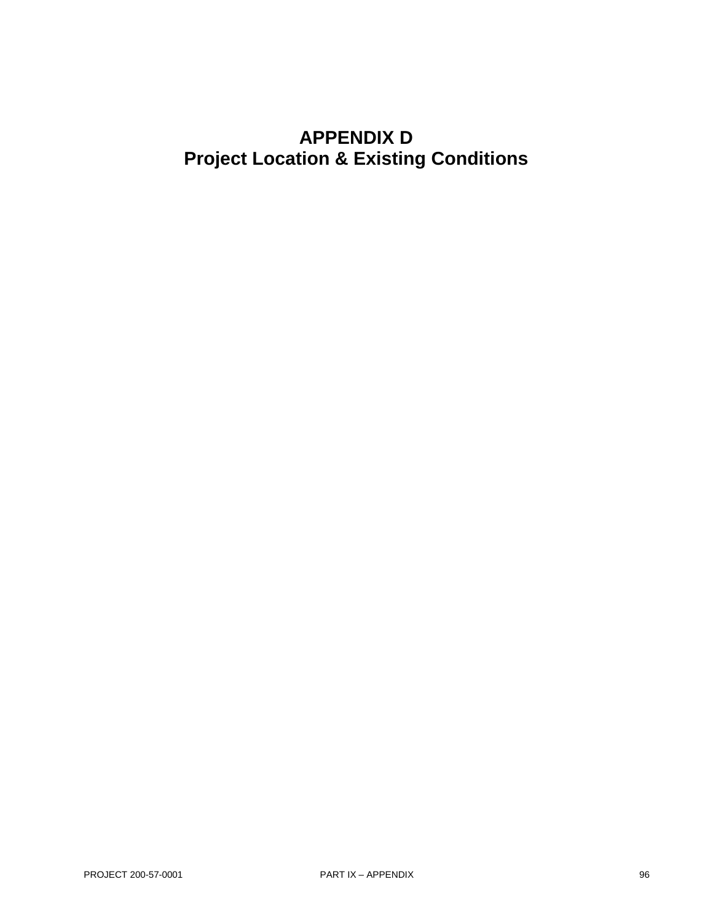# **APPENDIX D Project Location & Existing Conditions**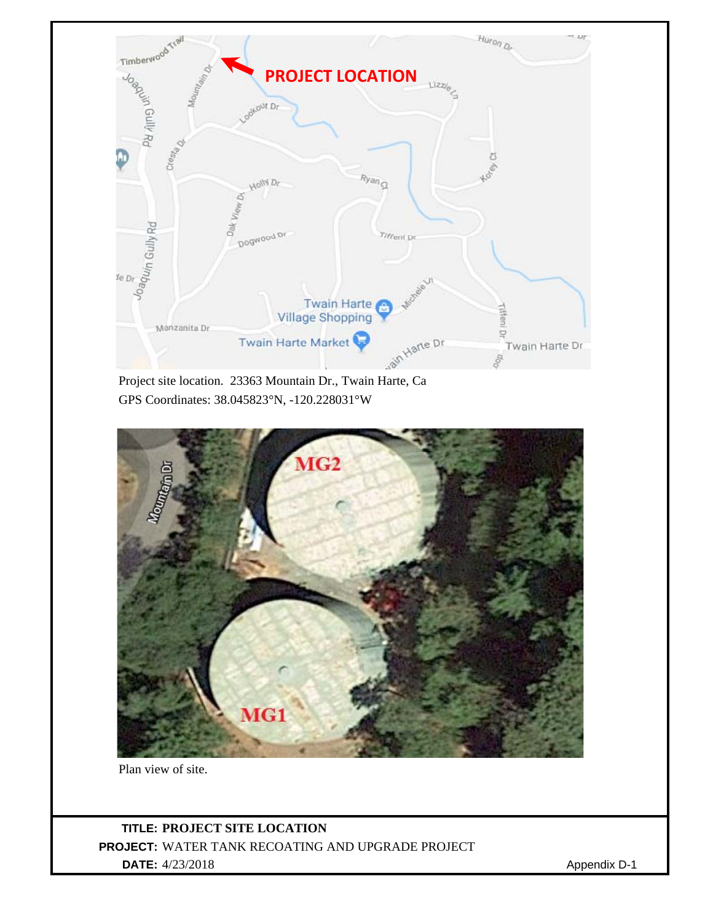

GPS Coordinates: 38.045823°N, -120.228031°W



Plan view of site.

**TITLE: PROJECT SITE LOCATION PROJECT:** WATER TANK RECOATING AND UPGRADE PROJECT **DATE:** 4/23/2018 Appendix D-1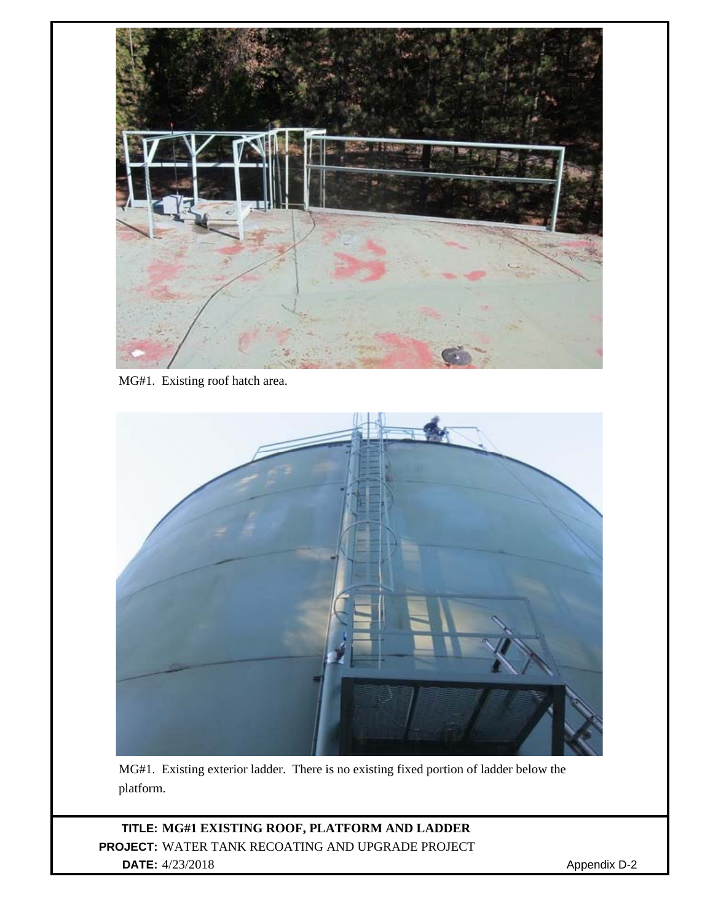

MG#1. Existing roof hatch area.



MG#1. Existing exterior ladder. There is no existing fixed portion of ladder below the platform.

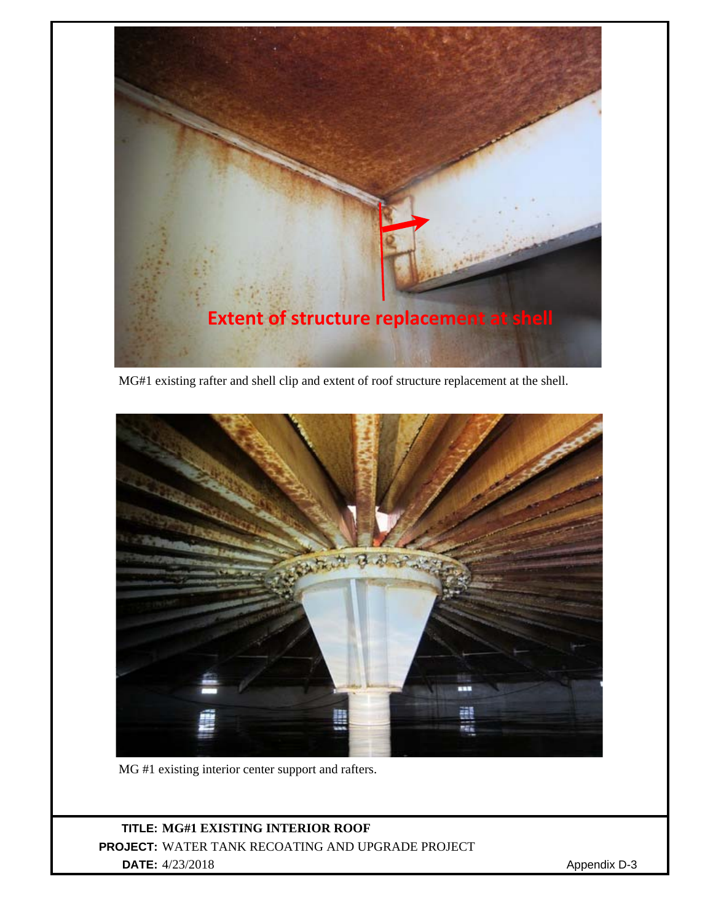

MG#1 existing rafter and shell clip and extent of roof structure replacement at the shell.



MG #1 existing interior center support and rafters.

# **TITLE: MG#1 EXISTING INTERIOR ROOF PROJECT:** WATER TANK RECOATING AND UPGRADE PROJECT **DATE:** 4/23/2018 Appendix D-3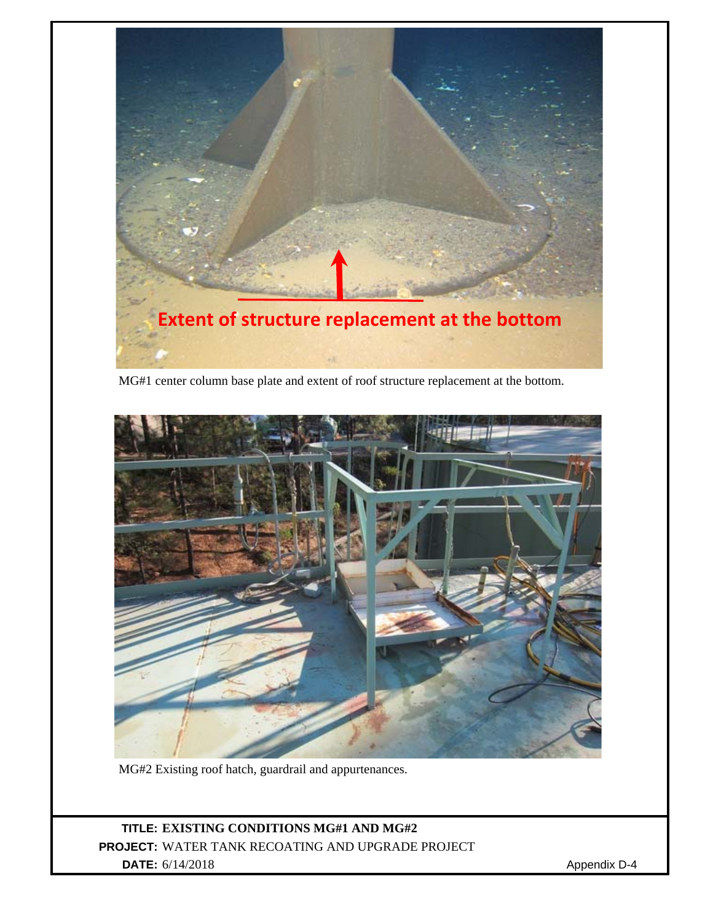

MG#1 center column base plate and extent of roof structure replacement at the bottom.



MG#2 Existing roof hatch, guardrail and appurtenances.

# **TITLE: EXISTING CONDITIONS MG#1 AND MG#2 PROJECT:** WATER TANK RECOATING AND UPGRADE PROJECT **DATE:** 6/14/2018 Appendix D-4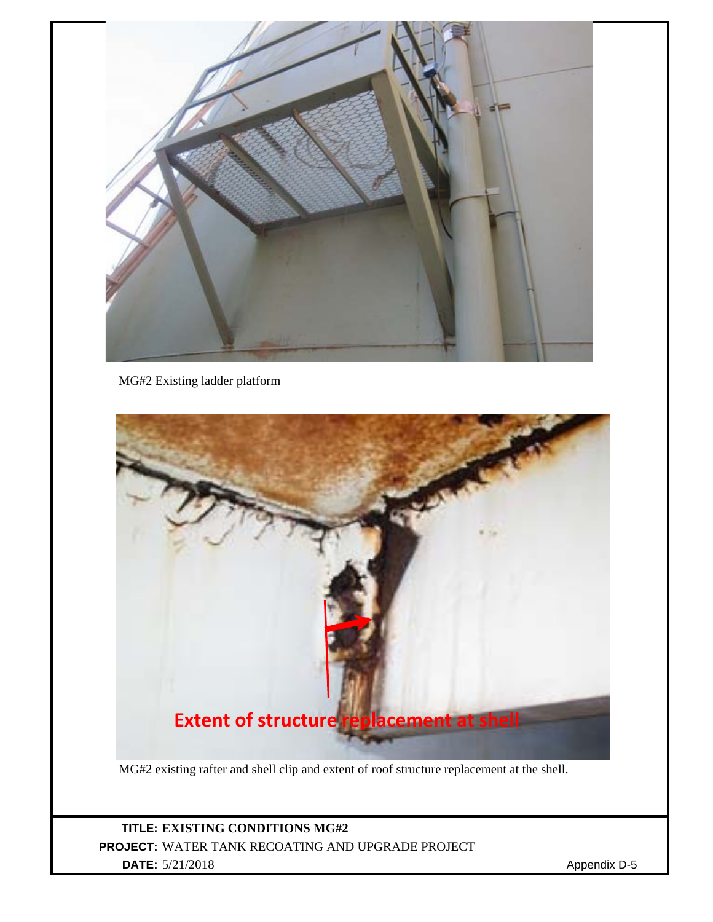

MG#2 Existing ladder platform



# **TITLE: EXISTING CONDITIONS MG#2 PROJECT:** WATER TANK RECOATING AND UPGRADE PROJECT **DATE:** 5/21/2018 Appendix D-5